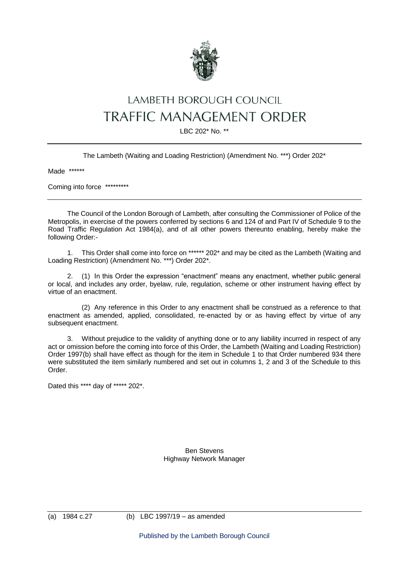

## LAMBETH BOROUGH COUNCIL **TRAFFIC MANAGEMENT ORDER**

LBC 202\* No. \*\*

The Lambeth (Waiting and Loading Restriction) (Amendment No. \*\*\*) Order 202\*

Made \*\*\*\*\*\*

Coming into force \*\*\*\*\*\*\*\*\*

The Council of the London Borough of Lambeth, after consulting the Commissioner of Police of the Metropolis, in exercise of the powers conferred by sections 6 and 124 of and Part IV of Schedule 9 to the Road Traffic Regulation Act 1984(a), and of all other powers thereunto enabling, hereby make the following Order:-

1. This Order shall come into force on \*\*\*\*\*\* 202\* and may be cited as the Lambeth (Waiting and Loading Restriction) (Amendment No. \*\*\*) Order 202\*.

2. (1) In this Order the expression "enactment" means any enactment, whether public general or local, and includes any order, byelaw, rule, regulation, scheme or other instrument having effect by virtue of an enactment.

(2) Any reference in this Order to any enactment shall be construed as a reference to that enactment as amended, applied, consolidated, re-enacted by or as having effect by virtue of any subsequent enactment.

3. Without prejudice to the validity of anything done or to any liability incurred in respect of any act or omission before the coming into force of this Order, the Lambeth (Waiting and Loading Restriction) Order 1997(b) shall have effect as though for the item in Schedule 1 to that Order numbered 934 there were substituted the item similarly numbered and set out in columns 1, 2 and 3 of the Schedule to this Order.

Dated this \*\*\*\* day of \*\*\*\*\* 202\*.

Ben Stevens Highway Network Manager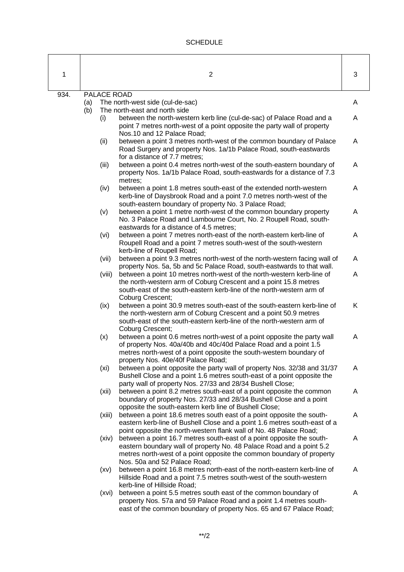## **SCHEDULE**

| 1    | $\overline{c}$                                                                                                                                                                                                                                                   | 3 |
|------|------------------------------------------------------------------------------------------------------------------------------------------------------------------------------------------------------------------------------------------------------------------|---|
| 934. | PALACE ROAD<br>(a)<br>The north-west side (cul-de-sac)<br>The north-east and north side<br>(b)                                                                                                                                                                   | A |
|      | between the north-western kerb line (cul-de-sac) of Palace Road and a<br>(i)<br>point 7 metres north-west of a point opposite the party wall of property<br>Nos.10 and 12 Palace Road;                                                                           | A |
|      | (ii)<br>between a point 3 metres north-west of the common boundary of Palace<br>Road Surgery and property Nos. 1a/1b Palace Road, south-eastwards<br>for a distance of 7.7 metres;                                                                               | A |
|      | between a point 0.4 metres north-west of the south-eastern boundary of<br>(iii)<br>property Nos. 1a/1b Palace Road, south-eastwards for a distance of 7.3<br>metres;                                                                                             | A |
|      | (iv)<br>between a point 1.8 metres south-east of the extended north-western<br>kerb-line of Daysbrook Road and a point 7.0 metres north-west of the<br>south-eastern boundary of property No. 3 Palace Road;                                                     | A |
|      | (v)<br>between a point 1 metre north-west of the common boundary property<br>No. 3 Palace Road and Lambourne Court, No. 2 Roupell Road, south-<br>eastwards for a distance of 4.5 metres;                                                                        | A |
|      | between a point 7 metres north-east of the north-eastern kerb-line of<br>(vi)<br>Roupell Road and a point 7 metres south-west of the south-western<br>kerb-line of Roupell Road;                                                                                 | A |
|      | (vii)<br>between a point 9.3 metres north-west of the north-western facing wall of<br>property Nos. 5a, 5b and 5c Palace Road, south-eastwards to that wall.                                                                                                     | A |
|      | (viii)<br>between a point 10 metres north-west of the north-western kerb-line of<br>the north-western arm of Coburg Crescent and a point 15.8 metres<br>south-east of the south-eastern kerb-line of the north-western arm of<br>Coburg Crescent;                | A |
|      | between a point 30.9 metres south-east of the south-eastern kerb-line of<br>(ix)<br>the north-western arm of Coburg Crescent and a point 50.9 metres<br>south-east of the south-eastern kerb-line of the north-western arm of<br>Coburg Crescent;                | K |
|      | between a point 0.6 metres north-west of a point opposite the party wall<br>(x)<br>of property Nos. 40a/40b and 40c/40d Palace Road and a point 1.5<br>metres north-west of a point opposite the south-western boundary of<br>property Nos. 40e/40f Palace Road; | A |
|      | (x <sub>i</sub> )<br>between a point opposite the party wall of property Nos. 32/38 and 31/37<br>Bushell Close and a point 1.6 metres south-east of a point opposite the<br>party wall of property Nos. 27/33 and 28/34 Bushell Close;                           | A |
|      | between a point 8.2 metres south-east of a point opposite the common<br>(xii)<br>boundary of property Nos. 27/33 and 28/34 Bushell Close and a point<br>opposite the south-eastern kerb line of Bushell Close;                                                   | A |
|      | between a point 18.6 metres south east of a point opposite the south-<br>(xiii)<br>eastern kerb-line of Bushell Close and a point 1.6 metres south-east of a<br>point opposite the north-western flank wall of No. 48 Palace Road;                               | A |
|      | between a point 16.7 metres south-east of a point opposite the south-<br>(xiv)<br>eastern boundary wall of property No. 48 Palace Road and a point 5.2<br>metres north-west of a point opposite the common boundary of property<br>Nos. 50a and 52 Palace Road;  | A |
|      | between a point 16.8 metres north-east of the north-eastern kerb-line of<br>(xv)<br>Hillside Road and a point 7.5 metres south-west of the south-western<br>kerb-line of Hillside Road;                                                                          | A |
|      | between a point 5.5 metres south east of the common boundary of<br>(xvi)<br>property Nos. 57a and 59 Palace Road and a point 1.4 metres south-<br>east of the common boundary of property Nos. 65 and 67 Palace Road;                                            | A |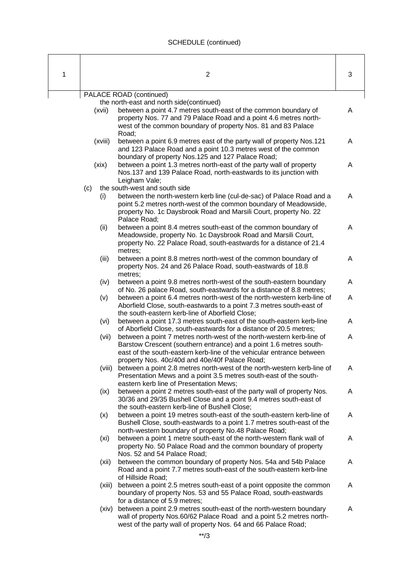## SCHEDULE (continued)

| 1                                                                   |         | $\overline{2}$                                                                                                                                                                                                                                                         | 3 |  |  |  |
|---------------------------------------------------------------------|---------|------------------------------------------------------------------------------------------------------------------------------------------------------------------------------------------------------------------------------------------------------------------------|---|--|--|--|
|                                                                     |         |                                                                                                                                                                                                                                                                        |   |  |  |  |
| PALACE ROAD (continued)<br>the north-east and north side(continued) |         |                                                                                                                                                                                                                                                                        |   |  |  |  |
|                                                                     | (xvii)  | between a point 4.7 metres south-east of the common boundary of<br>property Nos. 77 and 79 Palace Road and a point 4.6 metres north-<br>west of the common boundary of property Nos. 81 and 83 Palace                                                                  | A |  |  |  |
|                                                                     | (xviii) | Road;<br>between a point 6.9 metres east of the party wall of property Nos.121<br>and 123 Palace Road and a point 10.3 metres west of the common                                                                                                                       | A |  |  |  |
|                                                                     | (xix)   | boundary of property Nos.125 and 127 Palace Road;<br>between a point 1.3 metres north-east of the party wall of property<br>Nos.137 and 139 Palace Road, north-eastwards to its junction with<br>Leigham Vale;                                                         | A |  |  |  |
|                                                                     | (c)     | the south-west and south side                                                                                                                                                                                                                                          |   |  |  |  |
|                                                                     | (i)     | between the north-western kerb line (cul-de-sac) of Palace Road and a<br>point 5.2 metres north-west of the common boundary of Meadowside,<br>property No. 1c Daysbrook Road and Marsili Court, property No. 22<br>Palace Road;                                        | A |  |  |  |
|                                                                     | (ii)    | between a point 8.4 metres south-east of the common boundary of<br>Meadowside, property No. 1c Daysbrook Road and Marsili Court,<br>property No. 22 Palace Road, south-eastwards for a distance of 21.4<br>metres;                                                     | A |  |  |  |
|                                                                     | (iii)   | between a point 8.8 metres north-west of the common boundary of<br>property Nos. 24 and 26 Palace Road, south-eastwards of 18.8<br>metres;                                                                                                                             | A |  |  |  |
|                                                                     | (iv)    | between a point 9.8 metres north-west of the south-eastern boundary<br>of No. 26 palace Road, south-eastwards for a distance of 8.8 metres;                                                                                                                            | A |  |  |  |
|                                                                     | (v)     | between a point 6.4 metres north-west of the north-western kerb-line of<br>Aborfield Close, south-eastwards to a point 7.3 metres south-east of<br>the south-eastern kerb-line of Aborfield Close;                                                                     | A |  |  |  |
|                                                                     | (vi)    | between a point 17.3 metres south-east of the south-eastern kerb-line<br>of Aborfield Close, south-eastwards for a distance of 20.5 metres;                                                                                                                            | A |  |  |  |
|                                                                     | (vii)   | between a point 7 metres north-west of the north-western kerb-line of<br>Barstow Crescent (southern entrance) and a point 1.6 metres south-<br>east of the south-eastern kerb-line of the vehicular entrance between<br>property Nos. 40c/40d and 40e/40f Palace Road; | A |  |  |  |
|                                                                     | (viii)  | between a point 2.8 metres north-west of the north-western kerb-line of<br>Presentation Mews and a point 3.5 metres south-east of the south-<br>eastern kerb line of Presentation Mews:                                                                                | A |  |  |  |
|                                                                     | (ix)    | between a point 2 metres south-east of the party wall of property Nos.<br>30/36 and 29/35 Bushell Close and a point 9.4 metres south-east of<br>the south-eastern kerb-line of Bushell Close;                                                                          | A |  |  |  |
|                                                                     | (x)     | between a point 19 metres south-east of the south-eastern kerb-line of<br>Bushell Close, south-eastwards to a point 1.7 metres south-east of the<br>north-western boundary of property No.48 Palace Road;                                                              | A |  |  |  |
|                                                                     | (xi)    | between a point 1 metre south-east of the north-western flank wall of<br>property No. 50 Palace Road and the common boundary of property<br>Nos. 52 and 54 Palace Road;                                                                                                | A |  |  |  |
|                                                                     | (xii)   | between the common boundary of property Nos. 54a and 54b Palace<br>Road and a point 7.7 metres south-east of the south-eastern kerb-line<br>of Hillside Road;                                                                                                          | A |  |  |  |
|                                                                     | (xiii)  | between a point 2.5 metres south-east of a point opposite the common<br>boundary of property Nos. 53 and 55 Palace Road, south-eastwards<br>for a distance of 5.9 metres;                                                                                              | A |  |  |  |
|                                                                     | (xiv)   | between a point 2.9 metres south-east of the north-western boundary<br>wall of property Nos.60/62 Palace Road and a point 5.2 metres north-<br>west of the party wall of property Nos. 64 and 66 Palace Road;                                                          | A |  |  |  |